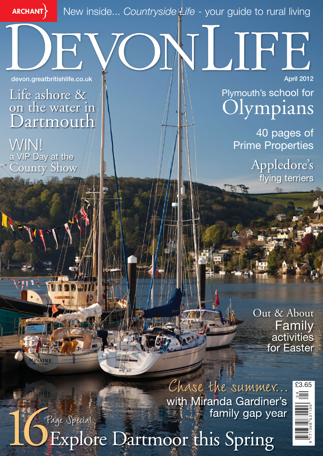New inside... *Countryside Life* - your guide to rural living

**devon.greatbritishlife.co.uk April 2012** 

**ARCHANT** 

Life ashore & on the water in Dartmouth

Page Special

WIN! a VIP Day at the County Show

West in

Plymouth's school for Olympians

NUEE

40 pages of Prime Properties

> Appledore's flying terriers

Out & About Family activities for Easter

with Miranda Gardiner's family gap year Chase the summer...

Explore Dartmoor this Spring